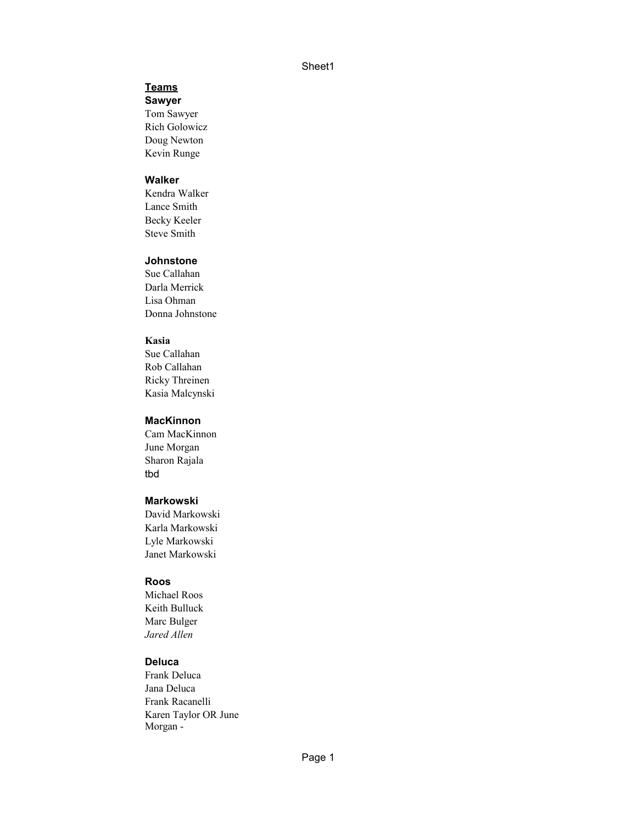## **Teams**

**Sawyer**

Tom Sawyer Doug Newton Rich Golowicz Kevin Runge

## **Walker**

Kendra Walker Lance Smith Steve Smith Becky Keeler

#### **Johnstone**

Sue Callahan Darla Merrick Lisa Ohman Donna Johnstone

#### **Kasia**

Sue Callahan Rob Callahan Ricky Threinen Kasia Malcynski

#### **MacKinnon**

June Morgan Cam MacKinnon Sharon Rajala tbd

### **Markowski**

David Markowski Karla Markowski Lyle Markowski Janet Markowski

#### **Roos**

*Jared Allen* Michael Roos Keith Bulluck Marc Bulger

#### **Deluca**

Frank Deluca Jana Deluca Frank Racanelli Karen Taylor OR June Morgan -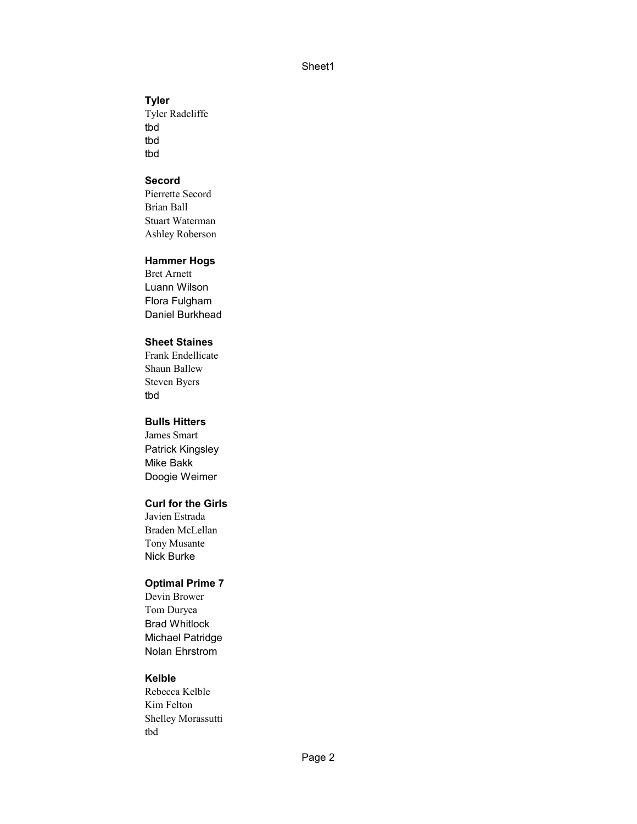### **Tyler**

Tyler Radcliffe tbd tbd tbd

## **Secord**

Brian Ball Ashley Roberson Pierrette Secord Stuart Waterman

### **Hammer Hogs**

Luann Wilson Bret Arnett Flora Fulgham Daniel Burkhead

## **Sheet Staines**

Steven Byers Frank Endellicate Shaun Ballew tbd

## **Bulls Hitters**

James Smart Patrick Kingsley Mike Bakk Doogie Weimer

## **Curl for the Girls**

Nick Burke Javien Estrada Braden McLellan Tony Musante

## **Optimal Prime 7**

Devin Brower Tom Duryea Brad Whitlock Michael Patridge Nolan Ehrstrom

### **Kelble**

Rebecca Kelble Kim Felton Shelley Morassutti tbd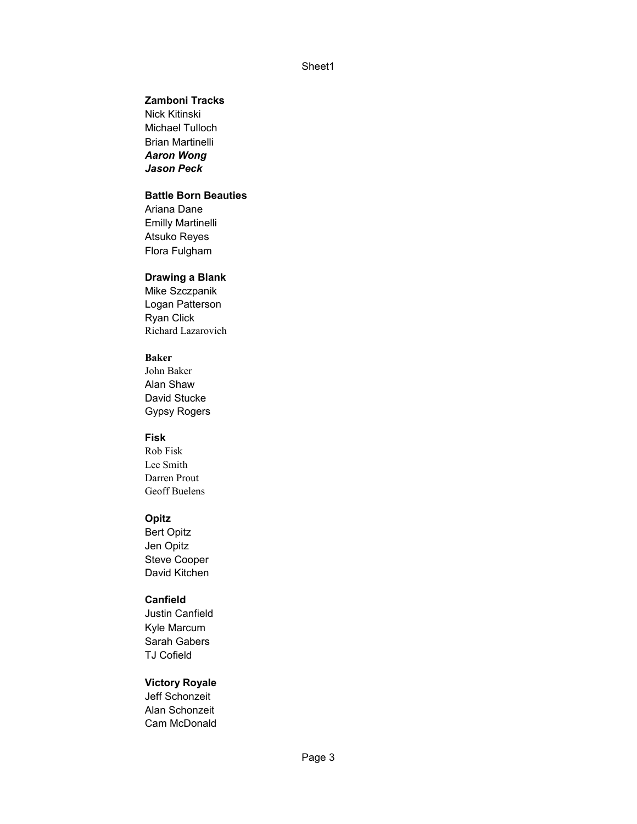## **Zamboni Tracks**

*Aaron Wong Jason Peck* Nick Kitinski Michael Tulloch Brian Martinelli

# **Battle Born Beauties**

Ariana Dane Emilly Martinelli Atsuko Reyes Flora Fulgham

## **Drawing a Blank**

Logan Patterson Ryan Click Mike Szczpanik Richard Lazarovich

#### **Baker**

John Baker Alan Shaw Gypsy Rogers David Stucke

## **Fisk**

Rob Fisk Lee Smith Darren Prout Geoff Buelens

#### **Opitz**

Steve Cooper David Kitchen Bert Opitz Jen Opitz

#### **Canfield**

Justin Canfield Kyle Marcum Sarah Gabers TJ Cofield

## **Victory Royale**

Cam McDonald Jeff Schonzeit Alan Schonzeit